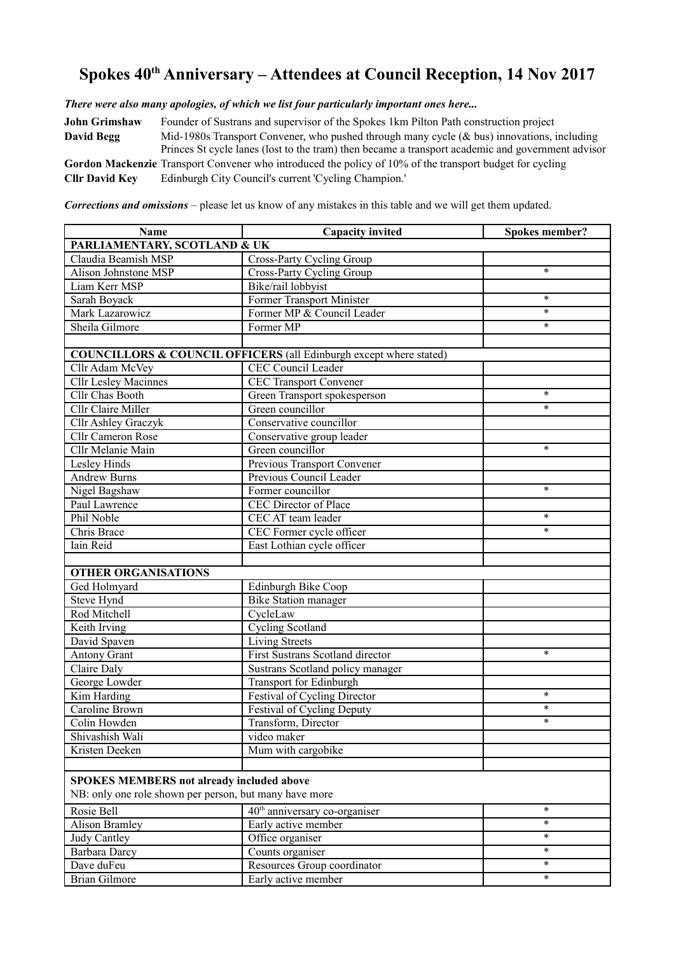## **Spokes 40th Anniversary – Attendees at Council Reception, 14 Nov 2017**

*There were also many apologies, of which we list four particularly important ones here...*

**John Grimshaw** Founder of Sustrans and supervisor of the Spokes 1km Pilton Path construction project **David Begg** Mid-1980s Transport Convener, who pushed through many cycle (& bus) innovations, including Princes St cycle lanes (lost to the tram) then became a transport academic and government advisor **Gordon Mackenzie** Transport Convener who introduced the policy of 10% of the transport budget for cycling **Cllr David Key** Edinburgh City Council's current 'Cycling Champion.'

*Corrections and omissions* – please let us know of any mistakes in this table and we will get them updated.

| Name                                                   | <b>Capacity invited</b>                                            | Spokes member? |  |
|--------------------------------------------------------|--------------------------------------------------------------------|----------------|--|
| PARLIAMENTARY, SCOTLAND & UK                           |                                                                    |                |  |
| Claudia Beamish MSP                                    | Cross-Party Cycling Group                                          |                |  |
| Alison Johnstone MSP                                   | Cross-Party Cycling Group                                          | $\ast$         |  |
| Liam Kerr MSP                                          | Bike/rail lobbyist                                                 |                |  |
| Sarah Boyack                                           | Former Transport Minister                                          | $\ast$         |  |
| Mark Lazarowicz                                        | Former MP & Council Leader                                         | $\ast$         |  |
| Sheila Gilmore                                         | Former MP                                                          | $\ast$         |  |
|                                                        |                                                                    |                |  |
|                                                        | COUNCILLORS & COUNCIL OFFICERS (all Edinburgh except where stated) |                |  |
| Cllr Adam McVey                                        | CEC Council Leader                                                 |                |  |
| <b>Cllr Lesley Macinnes</b>                            | <b>CEC Transport Convener</b>                                      |                |  |
| Cllr Chas Booth                                        | Green Transport spokesperson                                       | $\ast$         |  |
| <b>Cllr Claire Miller</b>                              | Green councillor                                                   | $\ast$         |  |
| Cllr Ashley Graczyk                                    | Conservative councillor                                            |                |  |
| Cllr Cameron Rose                                      | Conservative group leader                                          |                |  |
| Cllr Melanie Main                                      | Green councillor                                                   | $\ast$         |  |
| Lesley Hinds                                           | Previous Transport Convener                                        |                |  |
| <b>Andrew Burns</b>                                    | Previous Council Leader                                            |                |  |
| Nigel Bagshaw                                          | Former councillor                                                  | $\ast$         |  |
| Paul Lawrence                                          | <b>CEC Director of Place</b>                                       |                |  |
| Phil Noble                                             | CEC AT team leader                                                 | $\ast$         |  |
| Chris Brace                                            | CEC Former cycle officer                                           | $\ast$         |  |
| Iain Reid                                              | East Lothian cycle officer                                         |                |  |
|                                                        |                                                                    |                |  |
| <b>OTHER ORGANISATIONS</b>                             |                                                                    |                |  |
| Ged Holmyard                                           | Edinburgh Bike Coop                                                |                |  |
| Steve Hynd                                             | <b>Bike Station manager</b>                                        |                |  |
| Rod Mitchell                                           | CycleLaw                                                           |                |  |
| Keith Irving                                           | <b>Cycling Scotland</b>                                            |                |  |
| David Spaven                                           | Living Streets                                                     |                |  |
| <b>Antony Grant</b>                                    | First Sustrans Scotland director                                   | $\ast$         |  |
| Claire Daly                                            | Sustrans Scotland policy manager                                   |                |  |
| George Lowder                                          | Transport for Edinburgh                                            |                |  |
| Kim Harding                                            | Festival of Cycling Director                                       | $\ast$         |  |
| Caroline Brown                                         | Festival of Cycling Deputy                                         | $\ast$         |  |
| Colin Howden                                           | Transform, Director                                                | $\ast$         |  |
| Shivashish Wali                                        | video maker                                                        |                |  |
| Kristen Deeken                                         | Mum with cargobike                                                 |                |  |
|                                                        |                                                                    |                |  |
| <b>SPOKES MEMBERS not already included above</b>       |                                                                    |                |  |
| NB: only one role shown per person, but many have more |                                                                    |                |  |
| Rosie Bell                                             | 40 <sup>th</sup> anniversary co-organiser                          | $\ast$         |  |
| <b>Alison Bramley</b>                                  | Early active member                                                | $\ast$         |  |
| Judy Cantley                                           | Office organiser                                                   | $\ast$         |  |
| <b>Barbara</b> Darcy                                   | Counts organiser                                                   | $\ast$         |  |
| Dave duFeu                                             | Resources Group coordinator                                        | $\ast$         |  |
| Brian Gilmore                                          | Early active member                                                | $\ast$         |  |